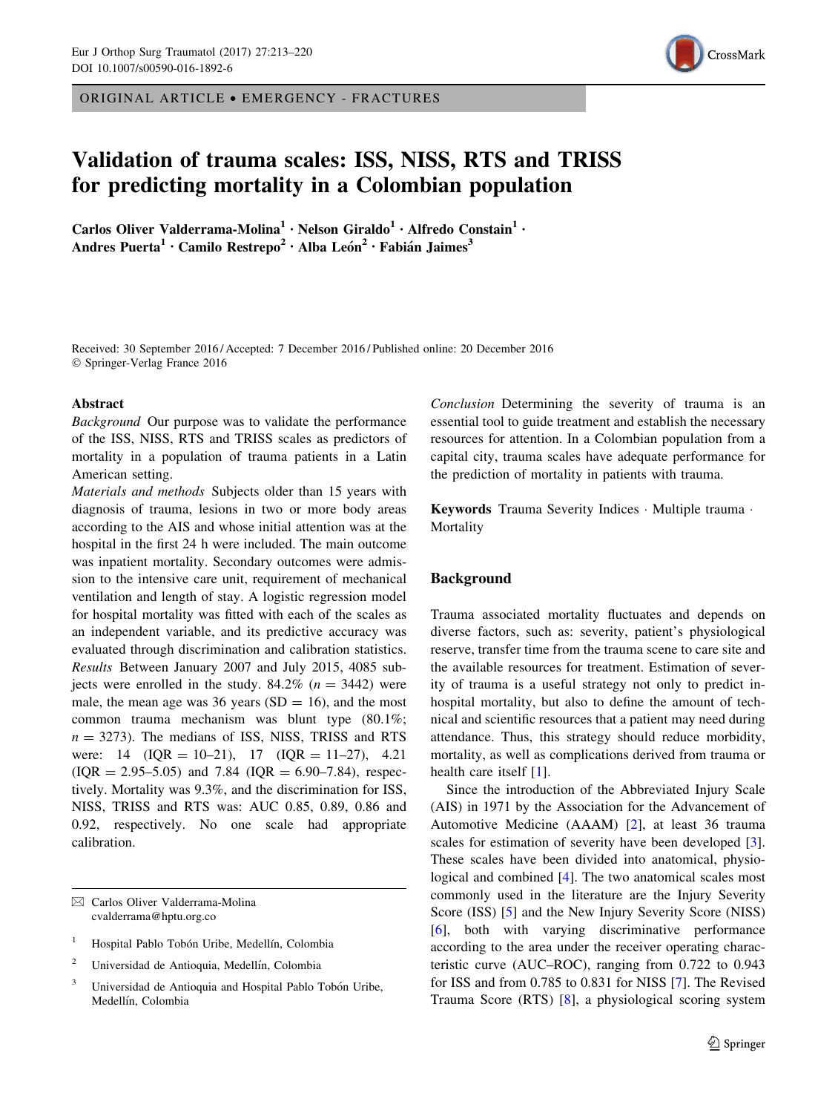ORIGINAL ARTICLE • EMERGENCY - FRACTURES

# CrossMark

# Validation of trauma scales: ISS, NISS, RTS and TRISS for predicting mortality in a Colombian population

Carlos Oliver Valderrama-Molina<sup>1</sup> · Nelson Giraldo<sup>1</sup> · Alfredo Constain<sup>1</sup> · Andres Puerta<sup>1</sup> · Camilo Restrepo<sup>2</sup> · Alba León<sup>2</sup> · Fabián Jaimes<sup>3</sup>

Received: 30 September 2016 / Accepted: 7 December 2016 / Published online: 20 December 2016 © Springer-Verlag France 2016

# Abstract

Background Our purpose was to validate the performance of the ISS, NISS, RTS and TRISS scales as predictors of mortality in a population of trauma patients in a Latin American setting.

Materials and methods Subjects older than 15 years with diagnosis of trauma, lesions in two or more body areas according to the AIS and whose initial attention was at the hospital in the first 24 h were included. The main outcome was inpatient mortality. Secondary outcomes were admission to the intensive care unit, requirement of mechanical ventilation and length of stay. A logistic regression model for hospital mortality was fitted with each of the scales as an independent variable, and its predictive accuracy was evaluated through discrimination and calibration statistics. Results Between January 2007 and July 2015, 4085 subjects were enrolled in the study.  $84.2\%$  ( $n = 3442$ ) were male, the mean age was 36 years  $(SD = 16)$ , and the most common trauma mechanism was blunt type (80.1%;  $n = 3273$ ). The medians of ISS, NISS, TRISS and RTS were:  $14 \text{ (IQR} = 10-21), 17 \text{ (IQR} = 11-27), 4.21$  $(IQR = 2.95-5.05)$  and 7.84  $(IQR = 6.90-7.84)$ , respectively. Mortality was 9.3%, and the discrimination for ISS, NISS, TRISS and RTS was: AUC 0.85, 0.89, 0.86 and 0.92, respectively. No one scale had appropriate calibration.

 $\boxtimes$  Carlos Oliver Valderrama-Molina cvalderrama@hptu.org.co

- <sup>1</sup> Hospital Pablo Tobón Uribe, Medellín, Colombia
- <sup>2</sup> Universidad de Antioquia, Medellín, Colombia
- Universidad de Antioquia and Hospital Pablo Tobón Uribe, Medellín, Colombia

Conclusion Determining the severity of trauma is an essential tool to guide treatment and establish the necessary resources for attention. In a Colombian population from a capital city, trauma scales have adequate performance for the prediction of mortality in patients with trauma.

Keywords Trauma Severity Indices · Multiple trauma · Mortality

# Background

Trauma associated mortality fluctuates and depends on diverse factors, such as: severity, patient's physiological reserve, transfer time from the trauma scene to care site and the available resources for treatment. Estimation of severity of trauma is a useful strategy not only to predict inhospital mortality, but also to define the amount of technical and scientific resources that a patient may need during attendance. Thus, this strategy should reduce morbidity, mortality, as well as complications derived from trauma or health care itself [[1\]](#page-7-0).

Since the introduction of the Abbreviated Injury Scale (AIS) in 1971 by the Association for the Advancement of Automotive Medicine (AAAM) [\[2](#page-7-0)], at least 36 trauma scales for estimation of severity have been developed [\[3](#page-7-0)]. These scales have been divided into anatomical, physiological and combined [[4](#page-7-0)]. The two anatomical scales most commonly used in the literature are the Injury Severity Score (ISS) [[5\]](#page-7-0) and the New Injury Severity Score (NISS) [\[6](#page-7-0)], both with varying discriminative performance according to the area under the receiver operating characteristic curve (AUC–ROC), ranging from 0.722 to 0.943 for ISS and from 0.785 to 0.831 for NISS [\[7](#page-7-0)]. The Revised Trauma Score (RTS) [[8\]](#page-7-0), a physiological scoring system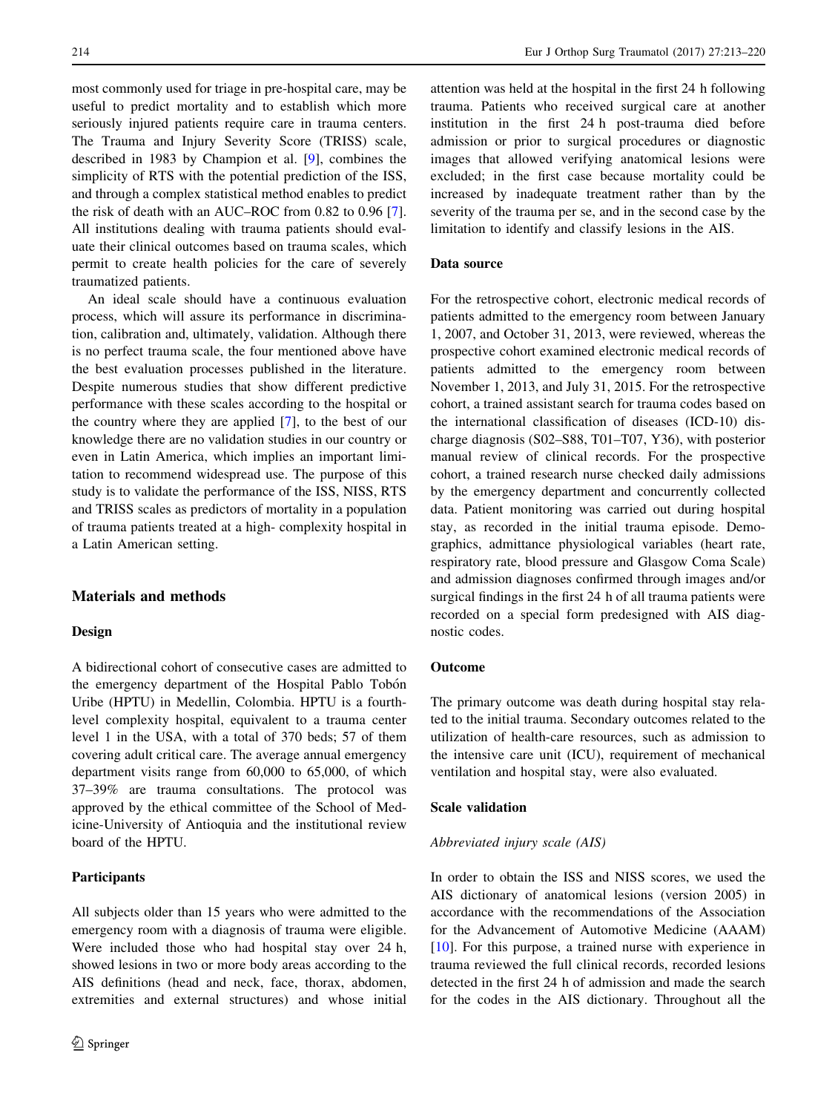most commonly used for triage in pre-hospital care, may be useful to predict mortality and to establish which more seriously injured patients require care in trauma centers. The Trauma and Injury Severity Score (TRISS) scale, described in 1983 by Champion et al. [\[9](#page-7-0)], combines the simplicity of RTS with the potential prediction of the ISS, and through a complex statistical method enables to predict the risk of death with an AUC–ROC from 0.82 to 0.96 [\[7](#page-7-0)]. All institutions dealing with trauma patients should evaluate their clinical outcomes based on trauma scales, which permit to create health policies for the care of severely traumatized patients.

An ideal scale should have a continuous evaluation process, which will assure its performance in discrimination, calibration and, ultimately, validation. Although there is no perfect trauma scale, the four mentioned above have the best evaluation processes published in the literature. Despite numerous studies that show different predictive performance with these scales according to the hospital or the country where they are applied [\[7](#page-7-0)], to the best of our knowledge there are no validation studies in our country or even in Latin America, which implies an important limitation to recommend widespread use. The purpose of this study is to validate the performance of the ISS, NISS, RTS and TRISS scales as predictors of mortality in a population of trauma patients treated at a high- complexity hospital in a Latin American setting.

# Materials and methods

# Design

A bidirectional cohort of consecutive cases are admitted to the emergency department of the Hospital Pablo Tobón Uribe (HPTU) in Medellin, Colombia. HPTU is a fourthlevel complexity hospital, equivalent to a trauma center level 1 in the USA, with a total of 370 beds; 57 of them covering adult critical care. The average annual emergency department visits range from 60,000 to 65,000, of which 37–39% are trauma consultations. The protocol was approved by the ethical committee of the School of Medicine-University of Antioquia and the institutional review board of the HPTU.

# **Participants**

All subjects older than 15 years who were admitted to the emergency room with a diagnosis of trauma were eligible. Were included those who had hospital stay over 24 h, showed lesions in two or more body areas according to the AIS definitions (head and neck, face, thorax, abdomen, extremities and external structures) and whose initial

attention was held at the hospital in the first 24 h following trauma. Patients who received surgical care at another institution in the first 24 h post-trauma died before admission or prior to surgical procedures or diagnostic images that allowed verifying anatomical lesions were excluded; in the first case because mortality could be increased by inadequate treatment rather than by the severity of the trauma per se, and in the second case by the limitation to identify and classify lesions in the AIS.

# Data source

For the retrospective cohort, electronic medical records of patients admitted to the emergency room between January 1, 2007, and October 31, 2013, were reviewed, whereas the prospective cohort examined electronic medical records of patients admitted to the emergency room between November 1, 2013, and July 31, 2015. For the retrospective cohort, a trained assistant search for trauma codes based on the international classification of diseases (ICD-10) discharge diagnosis (S02–S88, T01–T07, Y36), with posterior manual review of clinical records. For the prospective cohort, a trained research nurse checked daily admissions by the emergency department and concurrently collected data. Patient monitoring was carried out during hospital stay, as recorded in the initial trauma episode. Demographics, admittance physiological variables (heart rate, respiratory rate, blood pressure and Glasgow Coma Scale) and admission diagnoses confirmed through images and/or surgical findings in the first 24 h of all trauma patients were recorded on a special form predesigned with AIS diagnostic codes.

# Outcome

The primary outcome was death during hospital stay related to the initial trauma. Secondary outcomes related to the utilization of health-care resources, such as admission to the intensive care unit (ICU), requirement of mechanical ventilation and hospital stay, were also evaluated.

# Scale validation

# Abbreviated injury scale (AIS)

In order to obtain the ISS and NISS scores, we used the AIS dictionary of anatomical lesions (version 2005) in accordance with the recommendations of the Association for the Advancement of Automotive Medicine (AAAM) [\[10](#page-7-0)]. For this purpose, a trained nurse with experience in trauma reviewed the full clinical records, recorded lesions detected in the first 24 h of admission and made the search for the codes in the AIS dictionary. Throughout all the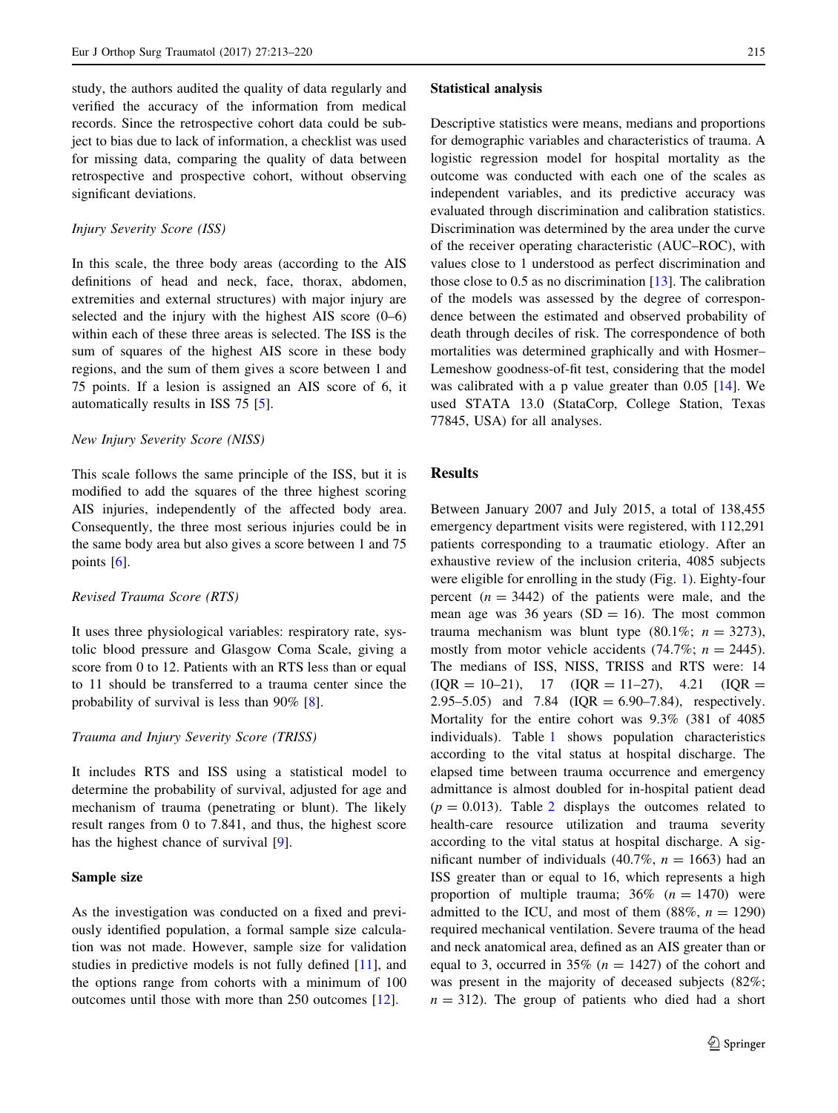study, the authors audited the quality of data regularly and verified the accuracy of the information from medical records. Since the retrospective cohort data could be subject to bias due to lack of information, a checklist was used for missing data, comparing the quality of data between retrospective and prospective cohort, without observing significant deviations.

# Injury Severity Score (ISS)

In this scale, the three body areas (according to the AIS definitions of head and neck, face, thorax, abdomen, extremities and external structures) with major injury are selected and the injury with the highest AIS score  $(0-6)$ within each of these three areas is selected. The ISS is the sum of squares of the highest AIS score in these body regions, and the sum of them gives a score between 1 and 75 points. If a lesion is assigned an AIS score of 6, it automatically results in ISS 75 [[5\]](#page-7-0).

#### New Injury Severity Score (NISS)

This scale follows the same principle of the ISS, but it is modified to add the squares of the three highest scoring AIS injuries, independently of the affected body area. Consequently, the three most serious injuries could be in the same body area but also gives a score between 1 and 75 points [\[6](#page-7-0)].

# Revised Trauma Score (RTS)

It uses three physiological variables: respiratory rate, systolic blood pressure and Glasgow Coma Scale, giving a score from 0 to 12. Patients with an RTS less than or equal to 11 should be transferred to a trauma center since the probability of survival is less than 90% [\[8](#page-7-0)].

#### Trauma and Injury Severity Score (TRISS)

It includes RTS and ISS using a statistical model to determine the probability of survival, adjusted for age and mechanism of trauma (penetrating or blunt). The likely result ranges from 0 to 7.841, and thus, the highest score has the highest chance of survival [\[9](#page-7-0)].

# Sample size

As the investigation was conducted on a fixed and previously identified population, a formal sample size calculation was not made. However, sample size for validation studies in predictive models is not fully defined [\[11](#page-7-0)], and the options range from cohorts with a minimum of 100 outcomes until those with more than 250 outcomes [[12\]](#page-7-0).

#### Statistical analysis

Descriptive statistics were means, medians and proportions for demographic variables and characteristics of trauma. A logistic regression model for hospital mortality as the outcome was conducted with each one of the scales as independent variables, and its predictive accuracy was evaluated through discrimination and calibration statistics. Discrimination was determined by the area under the curve of the receiver operating characteristic (AUC–ROC), with values close to 1 understood as perfect discrimination and those close to 0.5 as no discrimination [[13\]](#page-7-0). The calibration of the models was assessed by the degree of correspondence between the estimated and observed probability of death through deciles of risk. The correspondence of both mortalities was determined graphically and with Hosmer– Lemeshow goodness-of-fit test, considering that the model was calibrated with a p value greater than 0.05 [[14\]](#page-7-0). We used STATA 13.0 (StataCorp, College Station, Texas 77845, USA) for all analyses.

# Results

Between January 2007 and July 2015, a total of 138,455 emergency department visits were registered, with 112,291 patients corresponding to a traumatic etiology. After an exhaustive review of the inclusion criteria, 4085 subjects were eligible for enrolling in the study (Fig. [1](#page-3-0)). Eighty-four percent  $(n = 3442)$  of the patients were male, and the mean age was 36 years  $(SD = 16)$ . The most common trauma mechanism was blunt type  $(80.1\%; n = 3273)$ , mostly from motor vehicle accidents (74.7%;  $n = 2445$ ). The medians of ISS, NISS, TRISS and RTS were: 14  $( IQR = 10-21), 17 ( IQR = 11-27), 4.21 ( IQR = 11-27)$ 2.95–5.05) and 7.84 (IQR =  $6.90-7.84$ ), respectively. Mortality for the entire cohort was 9.3% (381 of 4085 individuals). Table [1](#page-3-0) shows population characteristics according to the vital status at hospital discharge. The elapsed time between trauma occurrence and emergency admittance is almost doubled for in-hospital patient dead  $(p = 0.013)$ . Table [2](#page-4-0) displays the outcomes related to health-care resource utilization and trauma severity according to the vital status at hospital discharge. A significant number of individuals (40.7%,  $n = 1663$ ) had an ISS greater than or equal to 16, which represents a high proportion of multiple trauma;  $36\%$  ( $n = 1470$ ) were admitted to the ICU, and most of them  $(88\%, n = 1290)$ required mechanical ventilation. Severe trauma of the head and neck anatomical area, defined as an AIS greater than or equal to 3, occurred in 35% ( $n = 1427$ ) of the cohort and was present in the majority of deceased subjects (82%;  $n = 312$ ). The group of patients who died had a short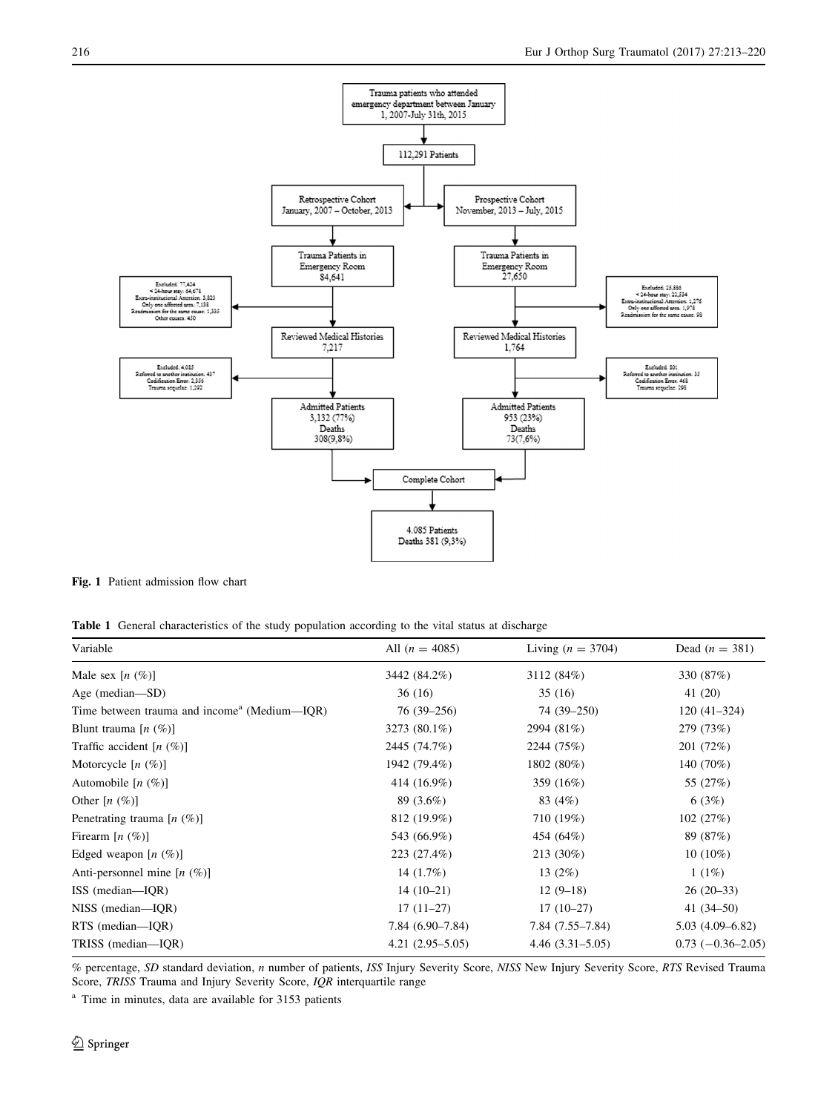<span id="page-3-0"></span>

Fig. 1 Patient admission flow chart

Table 1 General characteristics of the study population according to the vital status at discharge

| Variable                                    | All $(n = 4085)$  | Living $(n = 3704)$ | Dead $(n = 381)$    |  |
|---------------------------------------------|-------------------|---------------------|---------------------|--|
| Male sex $[n \ (\%)]$                       | 3442 (84.2%)      | 3112 (84%)          | 330 (87%)           |  |
| Age (median-SD)                             | 36(16)            | 35(16)              | 41 (20)             |  |
| Time between trauma and income (Medium—IQR) | 76 (39–256)       | 74 (39–250)         | $120(41-324)$       |  |
| Blunt trauma $[n \ (\%)]$                   | 3273 (80.1%)      | 2994 (81%)          | 279 (73%)           |  |
| Traffic accident $[n \ (\%)]$               | 2445 (74.7%)      | 2244 (75%)          | 201 (72%)           |  |
| Motorcycle $[n \ (\%)]$                     | 1942 (79.4%)      | 1802 (80%)          | 140 (70%)           |  |
| Automobile $[n \ (\%)]$                     | 414 (16.9%)       | 359 (16%)           | 55 (27%)            |  |
| Other $[n \ (\%)]$                          | 89 (3.6%)         | 83 (4%)             | 6(3%)               |  |
| Penetrating trauma $[n \ (\%)]$             | 812 (19.9%)       | 710 (19%)           | 102(27%)            |  |
| Firearm $[n \ (\%)]$                        | 543 (66.9%)       | 454 (64%)           | 89 (87%)            |  |
| Edged weapon $[n \ (\%)]$                   | 223 (27.4%)       | 213 (30%)           | $10(10\%)$          |  |
| Anti-personnel mine $[n \ (\%)]$            | 14 $(1.7%)$       | 13 $(2%)$           | $1(1\%)$            |  |
| ISS (median—IQR)                            | $14(10-21)$       | $12(9-18)$          | $26(20-33)$         |  |
| $NISS$ (median-IQR)                         | $17(11-27)$       | $17(10-27)$         | 41 $(34-50)$        |  |
| $RTS$ (median-IOR)                          | $7.84(6.90-7.84)$ | $7.84(7.55 - 7.84)$ | $5.03(4.09 - 6.82)$ |  |
| TRISS (median-IOR)                          | $4.21(2.95-5.05)$ | $4.46(3.31 - 5.05)$ | $0.73(-0.36-2.05)$  |  |

% percentage, SD standard deviation, n number of patients, ISS Injury Severity Score, NISS New Injury Severity Score, RTS Revised Trauma Score, TRISS Trauma and Injury Severity Score, IQR interquartile range

<sup>a</sup> Time in minutes, data are available for 3153 patients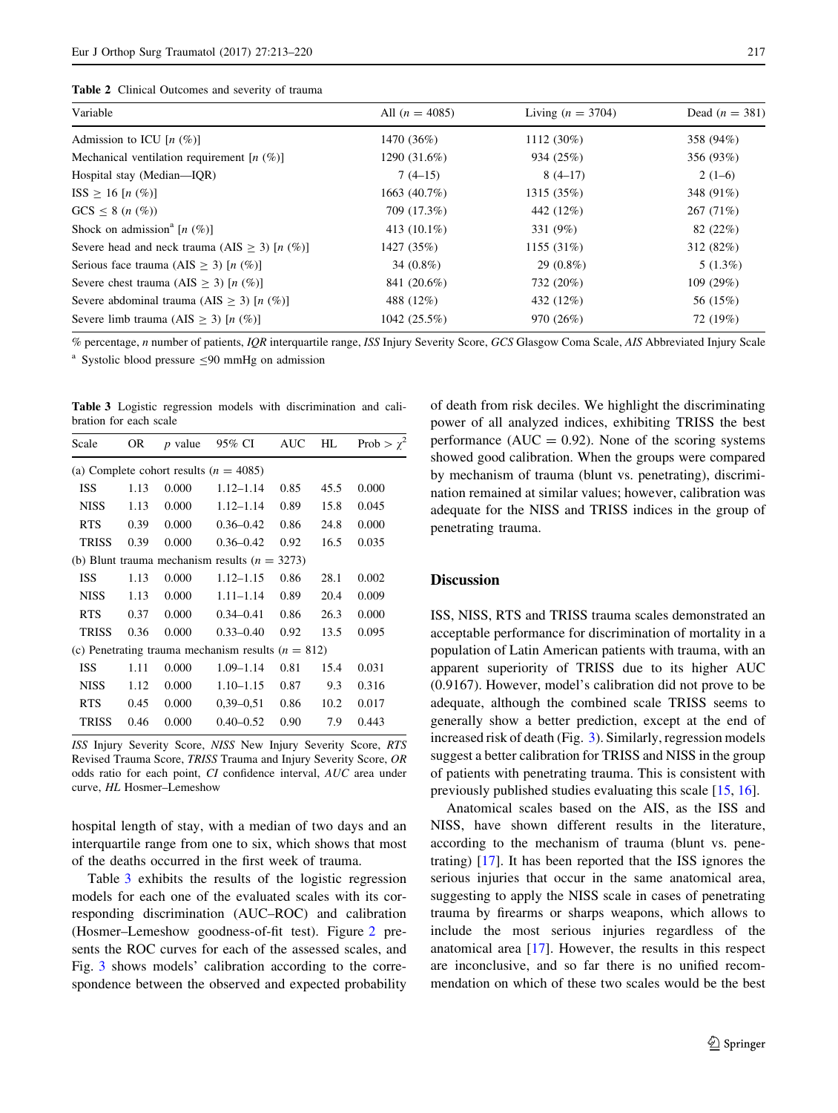<span id="page-4-0"></span>

| <b>Table 2</b> Clinical Outcomes and severity of trauma |  |  |  |  |  |
|---------------------------------------------------------|--|--|--|--|--|
|---------------------------------------------------------|--|--|--|--|--|

| Variable                                        | All $(n = 4085)$              | Living $(n = 3704)$ | Dead $(n = 381)$<br>358 (94%) |  |
|-------------------------------------------------|-------------------------------|---------------------|-------------------------------|--|
| Admission to ICU $[n \ (\%)]$                   | 1470 (36%)                    | $1112(30\%)$        |                               |  |
| Mechanical ventilation requirement $[n (\%)]$   | 1290 (31.6%)                  | 934 (25%)           | 356 (93%)                     |  |
| Hospital stay (Median-IQR)                      | $7(4-15)$                     | $8(4-17)$           | $2(1-6)$                      |  |
| $ISS \ge 16 [n (\%)]$                           | 1315 (35%)<br>1663 $(40.7\%)$ |                     | 348 (91%)                     |  |
| $GCS \leq 8$ ( <i>n</i> $(\%)$ )                | 709 (17.3%)                   | 442 (12%)           | 267 (71%)                     |  |
| Shock on admission <sup>a</sup> [n $(\%)$ ]     | 413 $(10.1\%)$                | 331 (9%)            | 82(22%)                       |  |
| Severe head and neck trauma (AIS $>$ 3) [n (%)] | 1427 (35%)                    | 1155(31%)           | 312(82%)                      |  |
| Serious face trauma (AIS > 3) [n $(\%)$ ]       | 34 $(0.8\%)$                  | $29(0.8\%)$         | $5(1.3\%)$                    |  |
| Severe chest trauma (AIS > 3) [n $(\%)$ ]       | 841 (20.6%)                   | 732 (20%)           | 109(29%)                      |  |
| Severe abdominal trauma (AIS > 3) [n $(\%)$ ]   | 488 (12%)                     | 432 (12%)           | 56 (15%)                      |  |
| Severe limb trauma (AIS $\geq$ 3) [n (%)]       | 1042(25.5%)                   | 970 (26%)           | 72 (19%)                      |  |

% percentage, n number of patients, IQR interquartile range, ISS Injury Severity Score, GCS Glasgow Coma Scale, AIS Abbreviated Injury Scale

<sup>a</sup> Systolic blood pressure  $\leq 90$  mmHg on admission

Table 3 Logistic regression models with discrimination and calibration for each scale

| Scale        | OR   | $p$ value | 95% CI                                               | <b>AUC</b> | HL   | Prob > $\chi^2$ |
|--------------|------|-----------|------------------------------------------------------|------------|------|-----------------|
|              |      |           | (a) Complete cohort results ( $n = 4085$ )           |            |      |                 |
| <b>ISS</b>   | 1.13 | 0.000     | $1.12 - 1.14$                                        | 0.85       | 45.5 | 0.000           |
| <b>NISS</b>  | 1.13 | 0.000     | $1.12 - 1.14$                                        | 0.89       | 15.8 | 0.045           |
| <b>RTS</b>   | 0.39 | 0.000     | $0.36 - 0.42$                                        | 0.86       | 24.8 | 0.000           |
| <b>TRISS</b> | 0.39 | 0.000     | $0.36 - 0.42$                                        | 0.92       | 16.5 | 0.035           |
|              |      |           | (b) Blunt trauma mechanism results $(n = 3273)$      |            |      |                 |
| <b>ISS</b>   | 1.13 | 0.000     | $1.12 - 1.15$                                        | 0.86       | 28.1 | 0.002           |
| <b>NISS</b>  | 1.13 | 0.000     | $1.11 - 1.14$                                        | 0.89       | 20.4 | 0.009           |
| <b>RTS</b>   | 0.37 | 0.000     | $0.34 - 0.41$                                        | 0.86       | 26.3 | 0.000           |
| <b>TRISS</b> | 0.36 | 0.000     | $0.33 - 0.40$                                        | 0.92       | 13.5 | 0.095           |
|              |      |           | (c) Penetrating trauma mechanism results $(n = 812)$ |            |      |                 |
| <b>ISS</b>   | 1.11 | 0.000     | $1.09 - 1.14$                                        | 0.81       | 15.4 | 0.031           |
| <b>NISS</b>  | 1.12 | 0.000     | $1.10 - 1.15$                                        | 0.87       | 9.3  | 0.316           |
| <b>RTS</b>   | 0.45 | 0.000     | $0.39 - 0.51$                                        | 0.86       | 10.2 | 0.017           |
| <b>TRISS</b> | 0.46 | 0.000     | $0.40 - 0.52$                                        | 0.90       | 7.9  | 0.443           |

ISS Injury Severity Score, NISS New Injury Severity Score, RTS Revised Trauma Score, TRISS Trauma and Injury Severity Score, OR odds ratio for each point, CI confidence interval, AUC area under curve, HL Hosmer–Lemeshow

hospital length of stay, with a median of two days and an interquartile range from one to six, which shows that most of the deaths occurred in the first week of trauma.

Table 3 exhibits the results of the logistic regression models for each one of the evaluated scales with its corresponding discrimination (AUC–ROC) and calibration (Hosmer–Lemeshow goodness-of-fit test). Figure [2](#page-5-0) presents the ROC curves for each of the assessed scales, and Fig. [3](#page-6-0) shows models' calibration according to the correspondence between the observed and expected probability of death from risk deciles. We highlight the discriminating power of all analyzed indices, exhibiting TRISS the best performance ( $AUC = 0.92$ ). None of the scoring systems showed good calibration. When the groups were compared by mechanism of trauma (blunt vs. penetrating), discrimination remained at similar values; however, calibration was adequate for the NISS and TRISS indices in the group of penetrating trauma.

# Discussion

ISS, NISS, RTS and TRISS trauma scales demonstrated an acceptable performance for discrimination of mortality in a population of Latin American patients with trauma, with an apparent superiority of TRISS due to its higher AUC (0.9167). However, model's calibration did not prove to be adequate, although the combined scale TRISS seems to generally show a better prediction, except at the end of increased risk of death (Fig. [3](#page-6-0)). Similarly, regression models suggest a better calibration for TRISS and NISS in the group of patients with penetrating trauma. This is consistent with previously published studies evaluating this scale [[15,](#page-7-0) [16\]](#page-7-0).

Anatomical scales based on the AIS, as the ISS and NISS, have shown different results in the literature, according to the mechanism of trauma (blunt vs. penetrating) [\[17](#page-7-0)]. It has been reported that the ISS ignores the serious injuries that occur in the same anatomical area, suggesting to apply the NISS scale in cases of penetrating trauma by firearms or sharps weapons, which allows to include the most serious injuries regardless of the anatomical area [[17\]](#page-7-0). However, the results in this respect are inconclusive, and so far there is no unified recommendation on which of these two scales would be the best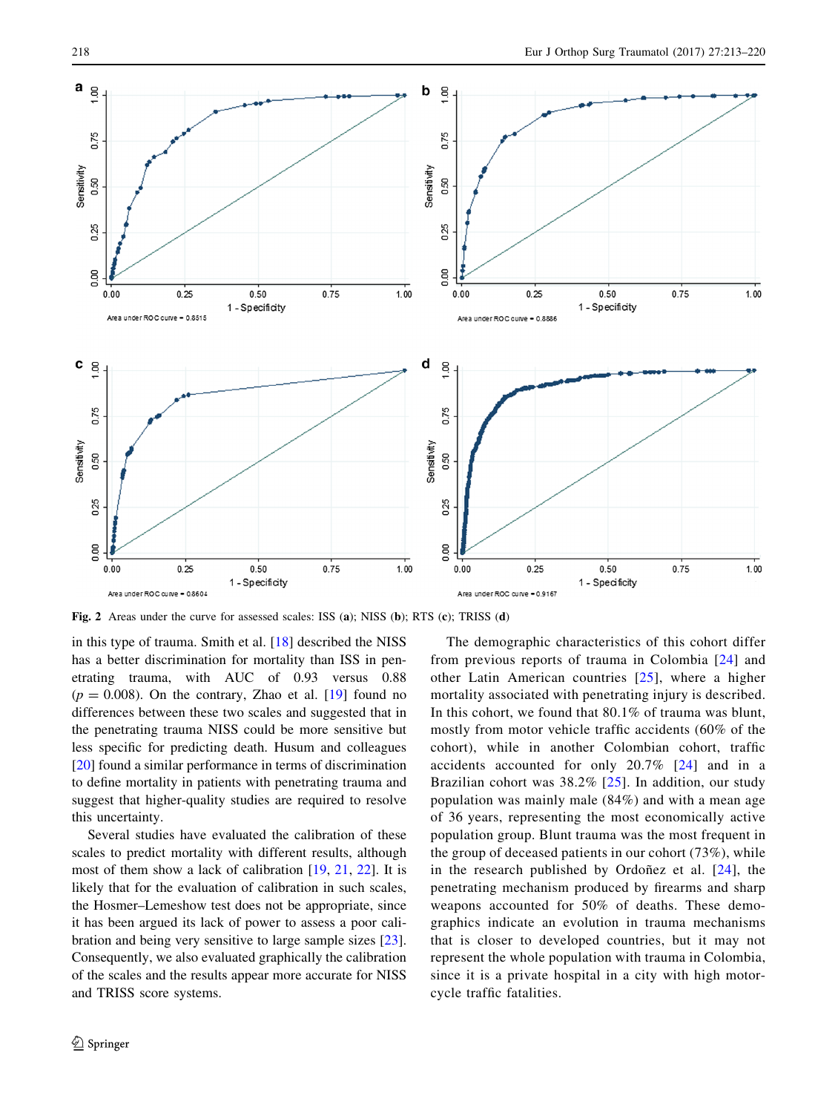<span id="page-5-0"></span>

Fig. 2 Areas under the curve for assessed scales: ISS (a); NISS (b); RTS (c); TRISS (d)

in this type of trauma. Smith et al. [\[18](#page-7-0)] described the NISS has a better discrimination for mortality than ISS in penetrating trauma, with AUC of 0.93 versus 0.88  $(p = 0.008)$ . On the contrary, Zhao et al. [[19\]](#page-7-0) found no differences between these two scales and suggested that in the penetrating trauma NISS could be more sensitive but less specific for predicting death. Husum and colleagues [\[20](#page-7-0)] found a similar performance in terms of discrimination to define mortality in patients with penetrating trauma and suggest that higher-quality studies are required to resolve this uncertainty.

Several studies have evaluated the calibration of these scales to predict mortality with different results, although most of them show a lack of calibration [\[19](#page-7-0), [21](#page-7-0), [22\]](#page-7-0). It is likely that for the evaluation of calibration in such scales, the Hosmer–Lemeshow test does not be appropriate, since it has been argued its lack of power to assess a poor calibration and being very sensitive to large sample sizes [\[23](#page-7-0)]. Consequently, we also evaluated graphically the calibration of the scales and the results appear more accurate for NISS and TRISS score systems.

The demographic characteristics of this cohort differ from previous reports of trauma in Colombia [\[24\]](#page-7-0) and other Latin American countries [[25](#page-7-0)], where a higher mortality associated with penetrating injury is described. In this cohort, we found that 80.1% of trauma was blunt, mostly from motor vehicle traffic accidents (60% of the cohort), while in another Colombian cohort, traffic accidents accounted for only 20.7% [\[24\]](#page-7-0) and in a Brazilian cohort was 38.2% [[25](#page-7-0)]. In addition, our study population was mainly male (84%) and with a mean age of 36 years, representing the most economically active population group. Blunt trauma was the most frequent in the group of deceased patients in our cohort (73%), while in the research published by Ordonez et al.  $[24]$  $[24]$  $[24]$ , the penetrating mechanism produced by firearms and sharp weapons accounted for 50% of deaths. These demographics indicate an evolution in trauma mechanisms that is closer to developed countries, but it may not represent the whole population with trauma in Colombia, since it is a private hospital in a city with high motorcycle traffic fatalities.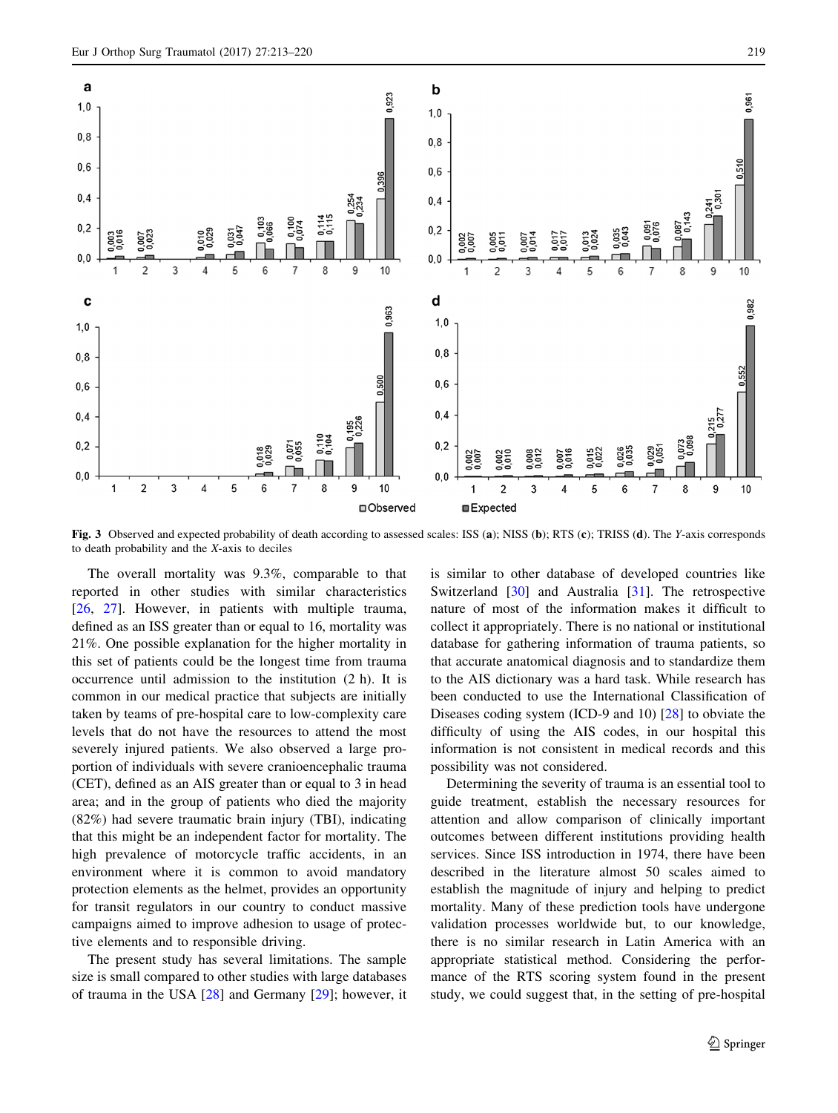<span id="page-6-0"></span>

Fig. 3 Observed and expected probability of death according to assessed scales: ISS (a); NISS (b); RTS (c); TRISS (d). The Y-axis corresponds to death probability and the X-axis to deciles

The overall mortality was 9.3%, comparable to that reported in other studies with similar characteristics [\[26](#page-7-0), [27\]](#page-7-0). However, in patients with multiple trauma, defined as an ISS greater than or equal to 16, mortality was 21%. One possible explanation for the higher mortality in this set of patients could be the longest time from trauma occurrence until admission to the institution (2 h). It is common in our medical practice that subjects are initially taken by teams of pre-hospital care to low-complexity care levels that do not have the resources to attend the most severely injured patients. We also observed a large proportion of individuals with severe cranioencephalic trauma (CET), defined as an AIS greater than or equal to 3 in head area; and in the group of patients who died the majority (82%) had severe traumatic brain injury (TBI), indicating that this might be an independent factor for mortality. The high prevalence of motorcycle traffic accidents, in an environment where it is common to avoid mandatory protection elements as the helmet, provides an opportunity for transit regulators in our country to conduct massive campaigns aimed to improve adhesion to usage of protective elements and to responsible driving.

The present study has several limitations. The sample size is small compared to other studies with large databases of trauma in the USA [\[28](#page-7-0)] and Germany [\[29](#page-7-0)]; however, it is similar to other database of developed countries like Switzerland [\[30](#page-7-0)] and Australia [\[31](#page-7-0)]. The retrospective nature of most of the information makes it difficult to collect it appropriately. There is no national or institutional database for gathering information of trauma patients, so that accurate anatomical diagnosis and to standardize them to the AIS dictionary was a hard task. While research has been conducted to use the International Classification of Diseases coding system (ICD-9 and 10) [[28\]](#page-7-0) to obviate the difficulty of using the AIS codes, in our hospital this information is not consistent in medical records and this possibility was not considered.

Determining the severity of trauma is an essential tool to guide treatment, establish the necessary resources for attention and allow comparison of clinically important outcomes between different institutions providing health services. Since ISS introduction in 1974, there have been described in the literature almost 50 scales aimed to establish the magnitude of injury and helping to predict mortality. Many of these prediction tools have undergone validation processes worldwide but, to our knowledge, there is no similar research in Latin America with an appropriate statistical method. Considering the performance of the RTS scoring system found in the present study, we could suggest that, in the setting of pre-hospital